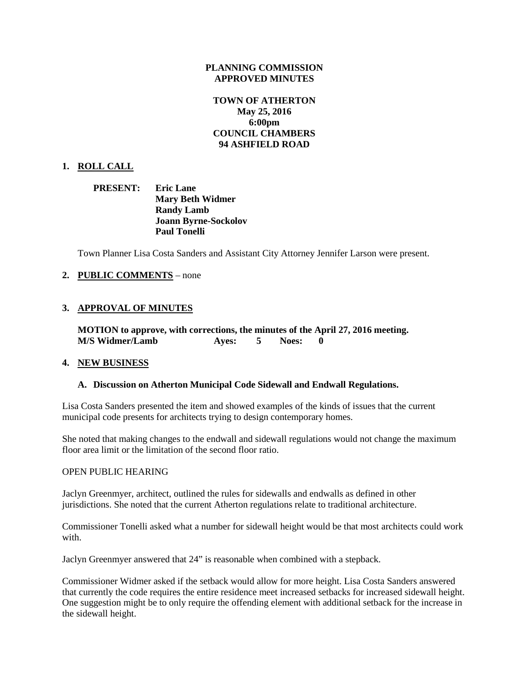#### **PLANNING COMMISSION APPROVED MINUTES**

# **TOWN OF ATHERTON May 25, 2016 6:00pm COUNCIL CHAMBERS 94 ASHFIELD ROAD**

## **1. ROLL CALL**

**PRESENT: Eric Lane Mary Beth Widmer Randy Lamb Joann Byrne-Sockolov Paul Tonelli**

Town Planner Lisa Costa Sanders and Assistant City Attorney Jennifer Larson were present.

## **2. PUBLIC COMMENTS** – none

# **3. APPROVAL OF MINUTES**

**MOTION to approve, with corrections, the minutes of the April 27, 2016 meeting. M/S Widmer/Lamb Ayes: 5 Noes: 0**

## **4. NEW BUSINESS**

#### **A. Discussion on Atherton Municipal Code Sidewall and Endwall Regulations.**

Lisa Costa Sanders presented the item and showed examples of the kinds of issues that the current municipal code presents for architects trying to design contemporary homes.

She noted that making changes to the endwall and sidewall regulations would not change the maximum floor area limit or the limitation of the second floor ratio.

#### OPEN PUBLIC HEARING

Jaclyn Greenmyer, architect, outlined the rules for sidewalls and endwalls as defined in other jurisdictions. She noted that the current Atherton regulations relate to traditional architecture.

Commissioner Tonelli asked what a number for sidewall height would be that most architects could work with.

Jaclyn Greenmyer answered that 24" is reasonable when combined with a stepback.

Commissioner Widmer asked if the setback would allow for more height. Lisa Costa Sanders answered that currently the code requires the entire residence meet increased setbacks for increased sidewall height. One suggestion might be to only require the offending element with additional setback for the increase in the sidewall height.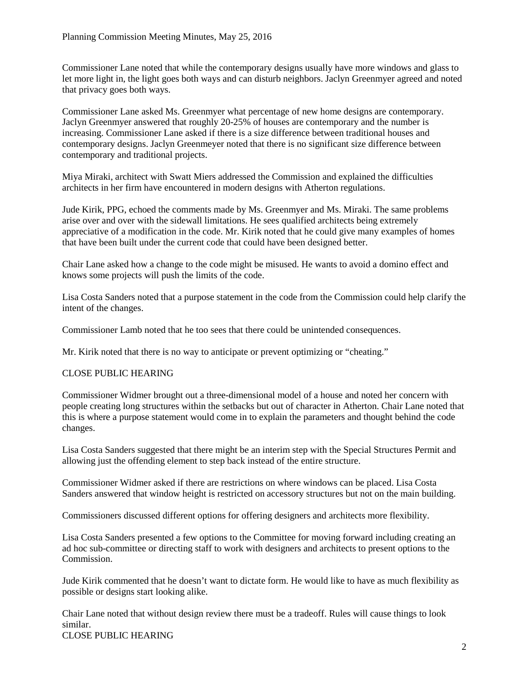Commissioner Lane noted that while the contemporary designs usually have more windows and glass to let more light in, the light goes both ways and can disturb neighbors. Jaclyn Greenmyer agreed and noted that privacy goes both ways.

Commissioner Lane asked Ms. Greenmyer what percentage of new home designs are contemporary. Jaclyn Greenmyer answered that roughly 20-25% of houses are contemporary and the number is increasing. Commissioner Lane asked if there is a size difference between traditional houses and contemporary designs. Jaclyn Greenmeyer noted that there is no significant size difference between contemporary and traditional projects.

Miya Miraki, architect with Swatt Miers addressed the Commission and explained the difficulties architects in her firm have encountered in modern designs with Atherton regulations.

Jude Kirik, PPG, echoed the comments made by Ms. Greenmyer and Ms. Miraki. The same problems arise over and over with the sidewall limitations. He sees qualified architects being extremely appreciative of a modification in the code. Mr. Kirik noted that he could give many examples of homes that have been built under the current code that could have been designed better.

Chair Lane asked how a change to the code might be misused. He wants to avoid a domino effect and knows some projects will push the limits of the code.

Lisa Costa Sanders noted that a purpose statement in the code from the Commission could help clarify the intent of the changes.

Commissioner Lamb noted that he too sees that there could be unintended consequences.

Mr. Kirik noted that there is no way to anticipate or prevent optimizing or "cheating."

# CLOSE PUBLIC HEARING

Commissioner Widmer brought out a three-dimensional model of a house and noted her concern with people creating long structures within the setbacks but out of character in Atherton. Chair Lane noted that this is where a purpose statement would come in to explain the parameters and thought behind the code changes.

Lisa Costa Sanders suggested that there might be an interim step with the Special Structures Permit and allowing just the offending element to step back instead of the entire structure.

Commissioner Widmer asked if there are restrictions on where windows can be placed. Lisa Costa Sanders answered that window height is restricted on accessory structures but not on the main building.

Commissioners discussed different options for offering designers and architects more flexibility.

Lisa Costa Sanders presented a few options to the Committee for moving forward including creating an ad hoc sub-committee or directing staff to work with designers and architects to present options to the Commission.

Jude Kirik commented that he doesn't want to dictate form. He would like to have as much flexibility as possible or designs start looking alike.

Chair Lane noted that without design review there must be a tradeoff. Rules will cause things to look similar. CLOSE PUBLIC HEARING